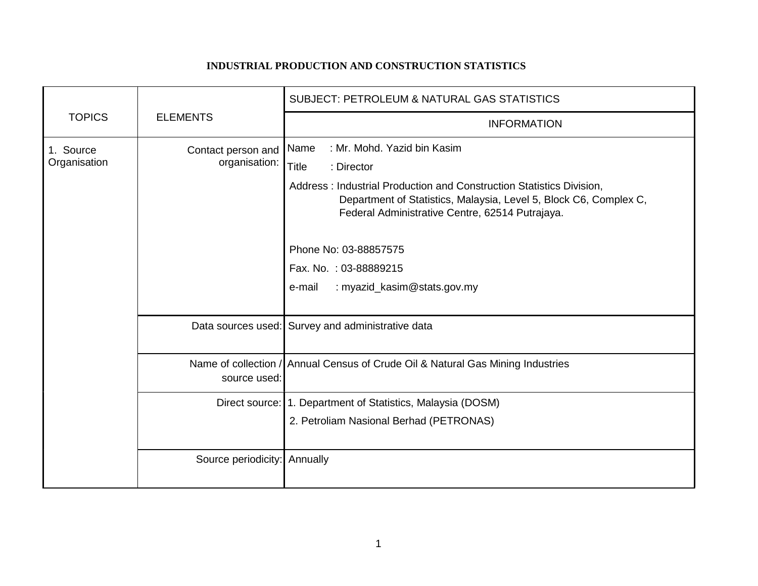## **INDUSTRIAL PRODUCTION AND CONSTRUCTION STATISTICS**

| <b>TOPICS</b>             | <b>ELEMENTS</b>                     | <b>SUBJECT: PETROLEUM &amp; NATURAL GAS STATISTICS</b>                                                                                                                                                                                                                                                                                                       |
|---------------------------|-------------------------------------|--------------------------------------------------------------------------------------------------------------------------------------------------------------------------------------------------------------------------------------------------------------------------------------------------------------------------------------------------------------|
|                           |                                     | <b>INFORMATION</b>                                                                                                                                                                                                                                                                                                                                           |
| 1. Source<br>Organisation | Contact person and<br>organisation: | : Mr. Mohd. Yazid bin Kasim<br>Name<br><b>Title</b><br>: Director<br>Address: Industrial Production and Construction Statistics Division,<br>Department of Statistics, Malaysia, Level 5, Block C6, Complex C,<br>Federal Administrative Centre, 62514 Putrajaya.<br>Phone No: 03-88857575<br>Fax. No.: 03-88889215<br>: myazid_kasim@stats.gov.my<br>e-mail |
|                           |                                     |                                                                                                                                                                                                                                                                                                                                                              |
|                           |                                     | Data sources used: Survey and administrative data                                                                                                                                                                                                                                                                                                            |
|                           | source used:                        | Name of collection / Annual Census of Crude Oil & Natural Gas Mining Industries                                                                                                                                                                                                                                                                              |
|                           |                                     | Direct source: 1. Department of Statistics, Malaysia (DOSM)<br>2. Petroliam Nasional Berhad (PETRONAS)                                                                                                                                                                                                                                                       |
|                           | Source periodicity: Annually        |                                                                                                                                                                                                                                                                                                                                                              |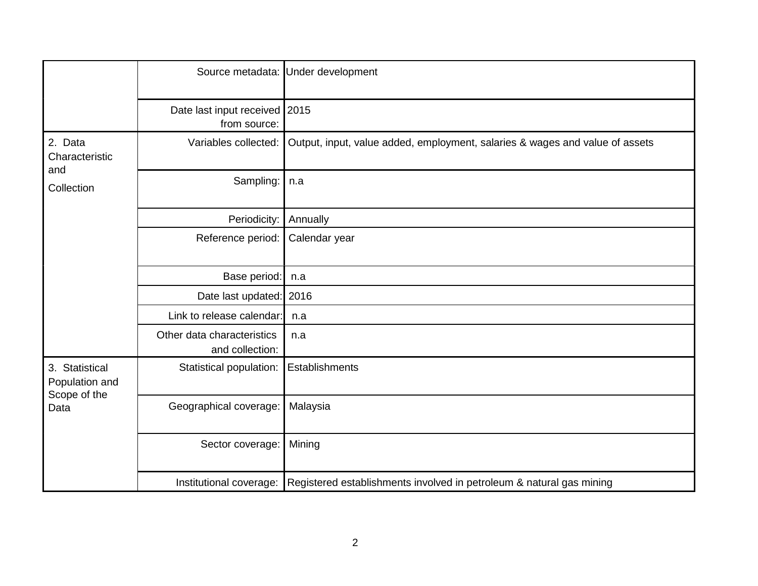|                                                          |                                                 | Source metadata: Under development                                                           |
|----------------------------------------------------------|-------------------------------------------------|----------------------------------------------------------------------------------------------|
|                                                          | Date last input received   2015<br>from source: |                                                                                              |
| 2. Data<br>Characteristic<br>and<br>Collection           | Variables collected:                            | Output, input, value added, employment, salaries & wages and value of assets                 |
|                                                          | Sampling:                                       | n.a                                                                                          |
|                                                          | Periodicity:                                    | Annually                                                                                     |
|                                                          | Reference period:                               | Calendar year                                                                                |
|                                                          | Base period:                                    | n.a                                                                                          |
|                                                          | Date last updated: 2016                         |                                                                                              |
|                                                          | Link to release calendar:                       | n.a                                                                                          |
|                                                          | Other data characteristics<br>and collection:   | n.a                                                                                          |
| 3. Statistical<br>Population and<br>Scope of the<br>Data | Statistical population:                         | Establishments                                                                               |
|                                                          | Geographical coverage:                          | Malaysia                                                                                     |
|                                                          | Sector coverage:                                | Mining                                                                                       |
|                                                          |                                                 | Institutional coverage: Registered establishments involved in petroleum & natural gas mining |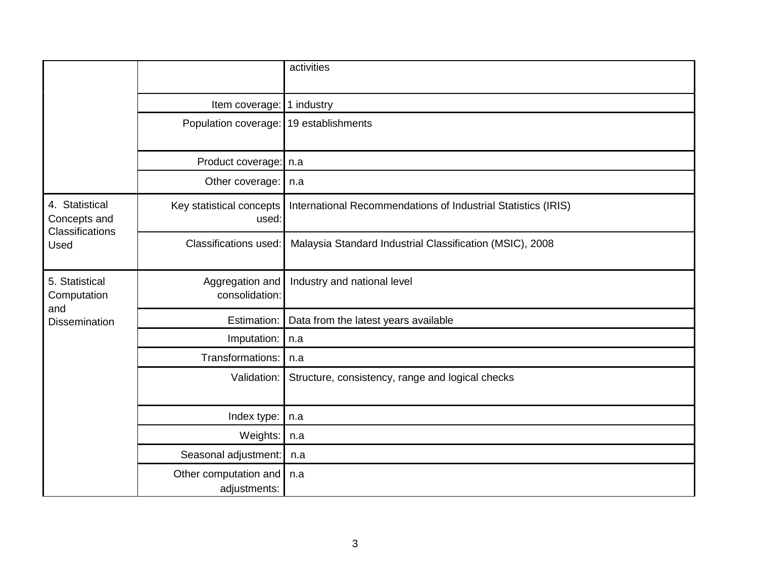|                                                                  |                                        | activities                                                    |
|------------------------------------------------------------------|----------------------------------------|---------------------------------------------------------------|
|                                                                  | Item coverage: 1 industry              |                                                               |
|                                                                  | Population coverage: 19 establishments |                                                               |
|                                                                  | Product coverage:   n.a                |                                                               |
|                                                                  | Other coverage:                        | n.a                                                           |
| 4. Statistical<br>Concepts and<br><b>Classifications</b><br>Used | Key statistical concepts<br>used:      | International Recommendations of Industrial Statistics (IRIS) |
|                                                                  | <b>Classifications used:</b>           | Malaysia Standard Industrial Classification (MSIC), 2008      |
| 5. Statistical<br>Computation                                    | Aggregation and<br>consolidation:      | Industry and national level                                   |
| and<br><b>Dissemination</b>                                      | Estimation:                            | Data from the latest years available                          |
|                                                                  | Imputation:                            | n.a                                                           |
|                                                                  | Transformations:                       | n.a                                                           |
|                                                                  | Validation:                            | Structure, consistency, range and logical checks              |
|                                                                  | Index type:                            | n.a                                                           |
|                                                                  | Weights:                               | n.a                                                           |
|                                                                  | Seasonal adjustment:                   | n.a                                                           |
|                                                                  | Other computation and<br>adjustments:  | n.a                                                           |